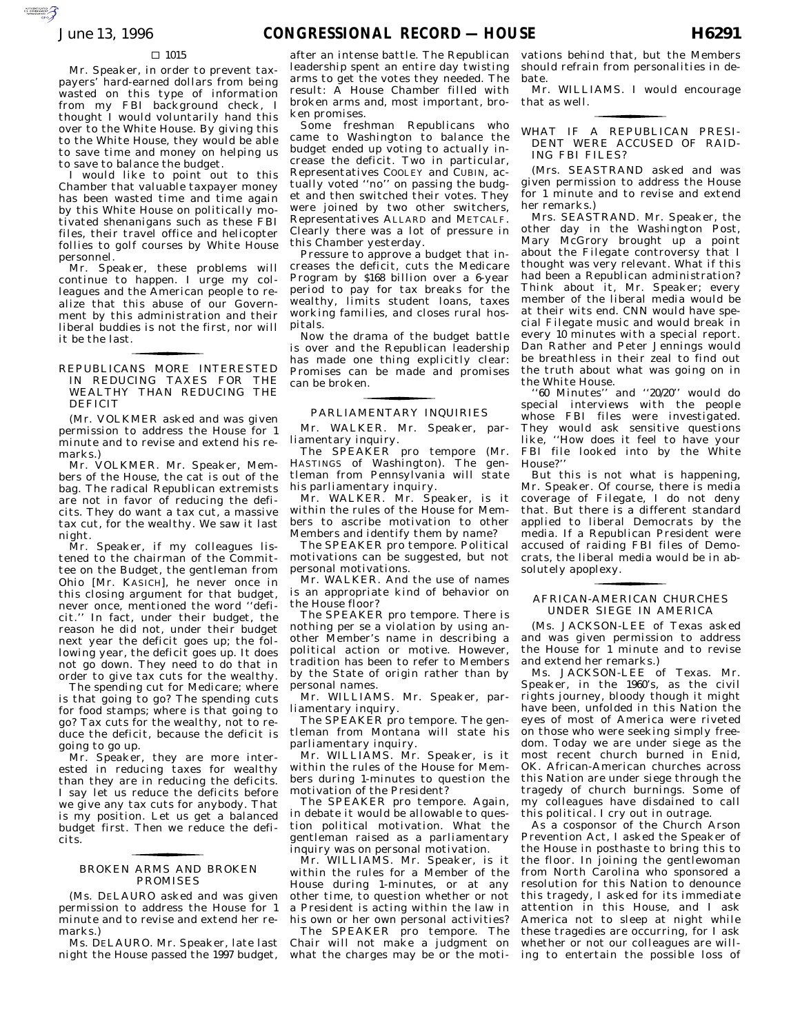### $\Box$  1015

AUTOROTOMICALE CONTINUES

Mr. Speaker, in order to prevent taxpayers' hard-earned dollars from being wasted on this type of information from my FBI background check, I thought I would voluntarily hand this over to the White House. By giving this to the White House, they would be able to save time and money on helping us to save to balance the budget.

I would like to point out to this Chamber that valuable taxpayer money has been wasted time and time again by this White House on politically motivated shenanigans such as these FBI files, their travel office and helicopter follies to golf courses by White House personnel.

Mr. Speaker, these problems will continue to happen. I urge my colleagues and the American people to realize that this abuse of our Government by this administration and their liberal buddies is not the first, nor will it be the last.

REPUBLICANS MORE INTERESTED IN REDUCING TAXES FOR THE WEALTHY THAN REDUCING THE DEFICIT

for the control of the control of

(Mr. VOLKMER asked and was given permission to address the House for 1 minute and to revise and extend his remarks.)

Mr. VOLKMER. Mr. Speaker, Members of the House, the cat is out of the bag. The radical Republican extremists are not in favor of reducing the deficits. They do want a tax cut, a massive tax cut, for the wealthy. We saw it last night.

Mr. Speaker, if my colleagues listened to the chairman of the Committee on the Budget, the gentleman from Ohio [Mr. KASICH], he never once in this closing argument for that budget, never once, mentioned the word ''deficit.'' In fact, under their budget, the reason he did not, under their budget next year the deficit goes up; the following year, the deficit goes up. It does not go down. They need to do that in order to give tax cuts for the wealthy.

The spending cut for Medicare; where is that going to go? The spending cuts for food stamps; where is that going to go? Tax cuts for the wealthy, not to reduce the deficit, because the deficit is going to go up.

Mr. Speaker, they are more interested in reducing taxes for wealthy than they are in reducing the deficits. I say let us reduce the deficits before we give any tax cuts for anybody. That is my position. Let us get a balanced budget first. Then we reduce the deficits.

## BROKEN ARMS AND BROKEN for the control of the control of PROMISES

(Ms. DELAURO asked and was given permission to address the House for 1 minute and to revise and extend her remarks.)

Ms. DELAURO. Mr. Speaker, late last night the House passed the 1997 budget, after an intense battle. The Republican leadership spent an entire day twisting arms to get the votes they needed. The result: A House Chamber filled with broken arms and, most important, broken promises.

Some freshman Republicans who came to Washington to balance the budget ended up voting to actually increase the deficit. Two in particular, Representatives COOLEY and CUBIN, actually voted ''no'' on passing the budget and then switched their votes. They were joined by two other switchers, Representatives ALLARD and METCALF. Clearly there was a lot of pressure in this Chamber yesterday.

Pressure to approve a budget that increases the deficit, cuts the Medicare Program by \$168 billion over a 6-year period to pay for tax breaks for the wealthy, limits student loans, taxes working families, and closes rural hospitals.

Now the drama of the budget battle is over and the Republican leadership has made one thing explicitly clear: Promises can be made and promises can be broken.

# PARLIAMENTARY INQUIRIES for the contract of the contract of

Mr. WALKER. Mr. Speaker, parliamentary inquiry.

The SPEAKER pro tempore (Mr. HASTINGS of Washington). The gentleman from Pennsylvania will state his parliamentary inquiry.

Mr. WALKER. Mr. Speaker, is it within the rules of the House for Members to ascribe motivation to other Members and identify them by name?

The SPEAKER pro tempore. Political motivations can be suggested, but not personal motivations.

Mr. WALKER. And the use of names is an appropriate kind of behavior on the House floor?

The SPEAKER pro tempore. There is nothing per se a violation by using another Member's name in describing a political action or motive. However, tradition has been to refer to Members by the State of origin rather than by personal names.

Mr. WILLIAMS. Mr. Speaker, parliamentary inquiry.

The SPEAKER pro tempore. The gentleman from Montana will state his parliamentary inquiry.

Mr. WILLIAMS. Mr. Speaker, is it within the rules of the House for Members during 1-minutes to question the motivation of the President?

The SPEAKER pro tempore. Again, in debate it would be allowable to question political motivation. What the gentleman raised as a parliamentary inquiry was on personal motivation.

Mr. WILLIAMS. Mr. Speaker, is it within the rules for a Member of the House during 1-minutes, or at any other time, to question whether or not a President is acting within the law in his own or her own personal activities?

The SPEAKER pro tempore. The Chair will not make a judgment on what the charges may be or the motivations behind that, but the Members should refrain from personalities in debate.

Mr. WILLIAMS. I would encourage that as well. for the contract of the contract of

WHAT IF A REPUBLICAN PRESI-DENT WERE ACCUSED OF RAID-ING FBI FILES?

(Mrs. SEASTRAND asked and was given permission to address the House for 1 minute and to revise and extend her remarks.)

Mrs. SEASTRAND. Mr. Speaker, the other day in the Washington Post, Mary McGrory brought up a point about the Filegate controversy that I thought was very relevant. What if this had been a Republican administration? Think about it, Mr. Speaker; every member of the liberal media would be at their wits end. CNN would have special Filegate music and would break in every 10 minutes with a special report. Dan Rather and Peter Jennings would be breathless in their zeal to find out the truth about what was going on in the White House.

''60 Minutes'' and ''20/20'' would do special interviews with the people whose FBI files were investigated. They would ask sensitive questions like, ''How does it feel to have your FBI file looked into by the White House?''

But this is not what is happening, Mr. Speaker. Of course, there is media coverage of Filegate, I do not deny that. But there is a different standard applied to liberal Democrats by the media. If a Republican President were accused of raiding FBI files of Democrats, the liberal media would be in absolutely apoplexy.

## AFRICAN-AMERICAN CHURCHES UNDER SIEGE IN AMERICA for the control of the control of

(Ms. JACKSON-LEE of Texas asked and was given permission to address the House for 1 minute and to revise and extend her remarks.)

Ms. JACKSON-LEE of Texas. Mr. Speaker, in the 1960's, as the civil rights journey, bloody though it might have been, unfolded in this Nation the eyes of most of America were riveted on those who were seeking simply freedom. Today we are under siege as the most recent church burned in Enid, OK. African-American churches across this Nation are under siege through the tragedy of church burnings. Some of my colleagues have disdained to call this political. I cry out in outrage.

As a cosponsor of the Church Arson Prevention Act, I asked the Speaker of the House in posthaste to bring this to the floor. In joining the gentlewoman from North Carolina who sponsored a resolution for this Nation to denounce this tragedy, I asked for its immediate attention in this House, and I ask America not to sleep at night while these tragedies are occurring, for I ask whether or not our colleagues are willing to entertain the possible loss of